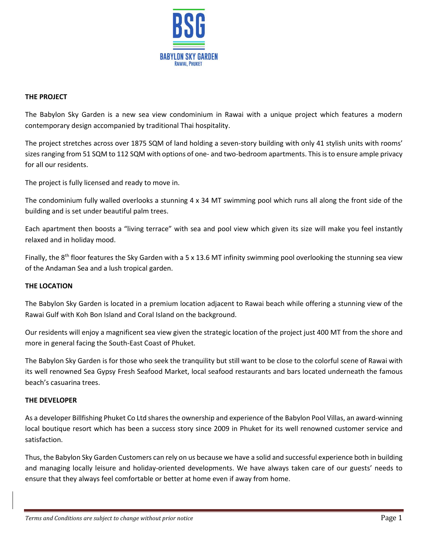

# **THE PROJECT**

The Babylon Sky Garden is a new sea view condominium in Rawai with a unique project which features a modern contemporary design accompanied by traditional Thai hospitality.

The project stretches across over 1875 SQM of land holding a seven-story building with only 41 stylish units with rooms' sizes ranging from 51 SQM to 112 SQM with options of one- and two-bedroom apartments. This is to ensure ample privacy for all our residents.

The project is fully licensed and ready to move in.

The condominium fully walled overlooks a stunning 4 x 34 MT swimming pool which runs all along the front side of the building and is set under beautiful palm trees.

Each apartment then boosts a "living terrace" with sea and pool view which given its size will make you feel instantly relaxed and in holiday mood.

Finally, the  $8<sup>th</sup>$  floor features the Sky Garden with a 5 x 13.6 MT infinity swimming pool overlooking the stunning sea view of the Andaman Sea and a lush tropical garden.

# **THE LOCATION**

The Babylon Sky Garden is located in a premium location adjacent to Rawai beach while offering a stunning view of the Rawai Gulf with Koh Bon Island and Coral Island on the background.

Our residents will enjoy a magnificent sea view given the strategic location of the project just 400 MT from the shore and more in general facing the South-East Coast of Phuket.

The Babylon Sky Garden is for those who seek the tranquility but still want to be close to the colorful scene of Rawai with its well renowned Sea Gypsy Fresh Seafood Market, local seafood restaurants and bars located underneath the famous beach's casuarina trees.

# **THE DEVELOPER**

As a developer Billfishing Phuket Co Ltd shares the ownership and experience of the Babylon Pool Villas, an award-winning local boutique resort which has been a success story since 2009 in Phuket for its well renowned customer service and satisfaction.

Thus, the Babylon Sky Garden Customers can rely on us because we have a solid and successful experience both in building and managing locally leisure and holiday-oriented developments. We have always taken care of our guests' needs to ensure that they always feel comfortable or better at home even if away from home.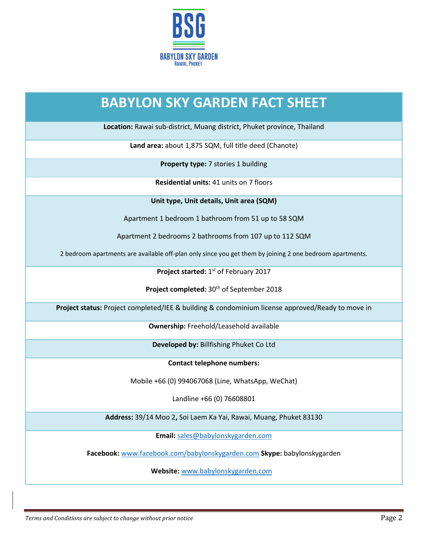

# **BABYLON SKY GARDEN FACT SHEET**

**Location:** Rawai sub-district, Muang district, Phuket province, Thailand

**Land area:** about 1,875 SQM, full title deed (Chanote)

**Property type:** 7 stories 1 building

**Residential units:** 41 units on 7 floors

**Unit type, Unit details, Unit area (SQM)**

Apartment 1 bedroom 1 bathroom from 51 up to 58 SQM

Apartment 2 bedrooms 2 bathrooms from 107 up to 112 SQM

2 bedroom apartments are available off-plan only since you get them by joining 2 one bedroom apartments.

Project started: 1<sup>st</sup> of February 2017

Project completed: 30<sup>th</sup> of September 2018

**Project status:** Project completed/IEE & building & condominium license approved/Ready to move in

**Ownership:** Freehold/Leasehold available

**Developed by:** Billfishing Phuket Co Ltd

**Contact telephone numbers:** 

Mobile +66 (0) 994067068 (Line, WhatsApp, WeChat)

Landline +66 (0) 76608801

**Address:** 39/14 Moo 2**,** Soi Laem Ka Yai, Rawai, Muang, Phuket 83130

**Email:** [sales@babylonskygarden.com](mailto:sales@babylonskygarden.com)

**Facebook:** [www.facebook.com/babylonskygarden.com](http://www.facebook.com/babylonskygarden.com) **Skype:** babylonskygarden

**Website:** [www.babylonskygarden.com](http://www.babylonskygarden.com/)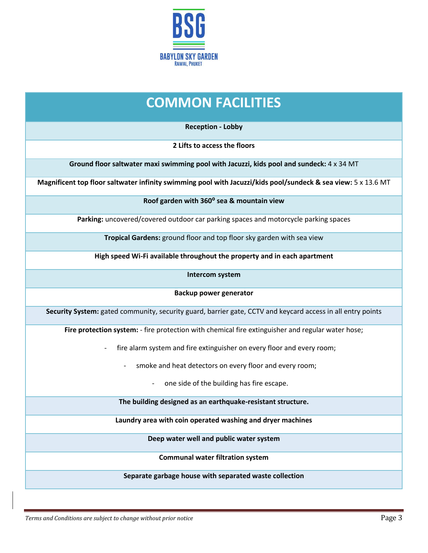

# **COMMON FACILITIES**

**Reception - Lobby**

**2 Lifts to access the floors**

**Ground floor saltwater maxi swimming pool with Jacuzzi, kids pool and sundeck:** 4 x 34 MT

**Magnificent top floor saltwater infinity swimming pool with Jacuzzi/kids pool/sundeck & sea view:** 5 x 13.6 MT

**Roof garden with 360⁰ sea & mountain view**

**Parking:** uncovered/covered outdoor car parking spaces and motorcycle parking spaces

**Tropical Gardens:** ground floor and top floor sky garden with sea view

**High speed Wi-Fi available throughout the property and in each apartment**

**Intercom system**

**Backup power generator**

**Security System:** gated community, security guard, barrier gate, CCTV and keycard access in all entry points

Fire protection system: - fire protection with chemical fire extinguisher and regular water hose;

- fire alarm system and fire extinguisher on every floor and every room;
	- smoke and heat detectors on every floor and every room;
		- one side of the building has fire escape.

**The building designed as an earthquake-resistant structure.**

**Laundry area with coin operated washing and dryer machines**

**Deep water well and public water system**

**Communal water filtration system**

**Separate garbage house with separated waste collection**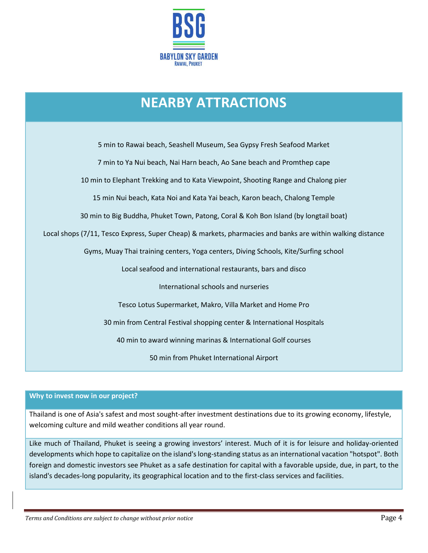

# **NEARBY ATTRACTIONS**

5 min to Rawai beach, Seashell Museum, Sea Gypsy Fresh Seafood Market 7 min to Ya Nui beach, Nai Harn beach, Ao Sane beach and Promthep cape 10 min to Elephant Trekking and to Kata Viewpoint, Shooting Range and Chalong pier 15 min Nui beach, Kata Noi and Kata Yai beach, Karon beach, Chalong Temple 30 min to Big Buddha, Phuket Town, Patong, Coral & Koh Bon Island (by longtail boat) Local shops (7/11, Tesco Express, Super Cheap) & markets, pharmacies and banks are within walking distance Gyms, Muay Thai training centers, Yoga centers, Diving Schools, Kite/Surfing school Local seafood and international restaurants, bars and disco International schools and nurseries Tesco Lotus Supermarket, Makro, Villa Market and Home Pro 30 min from Central Festival shopping center & International Hospitals 40 min to award winning marinas & International Golf courses 50 min from Phuket International Airport

# **Why to invest now in our project?**

Thailand is one of Asia's safest and most sought-after investment destinations due to its growing economy, lifestyle, welcoming culture and mild weather conditions all year round.

Like much of Thailand, Phuket is seeing a growing investors' interest. Much of it is for leisure and holiday-oriented developments which hope to capitalize on the island's long-standing status as an international vacation "hotspot". Both foreign and domestic investors see Phuket as a safe destination for capital with a favorable upside, due, in part, to the island's decades-long popularity, its geographical location and to the first-class services and facilities.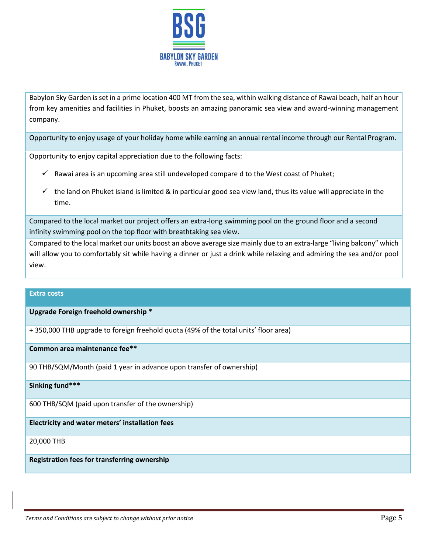

Babylon Sky Garden is set in a prime location 400 MT from the sea, within walking distance of Rawai beach, half an hour from key amenities and facilities in Phuket, boosts an amazing panoramic sea view and award-winning management company.

Opportunity to enjoy usage of your holiday home while earning an annual rental income through our Rental Program.

Opportunity to enjoy capital appreciation due to the following facts:

- $\checkmark$  Rawai area is an upcoming area still undeveloped compare d to the West coast of Phuket;
- $\checkmark$  the land on Phuket island is limited & in particular good sea view land, thus its value will appreciate in the time.

Compared to the local market our project offers an extra-long swimming pool on the ground floor and a second infinity swimming pool on the top floor with breathtaking sea view.

Compared to the local market our units boost an above average size mainly due to an extra-large "living balcony" which will allow you to comfortably sit while having a dinner or just a drink while relaxing and admiring the sea and/or pool view.

## **Extra costs**

**Upgrade Foreign freehold ownership \***

+ 350,000 THB upgrade to foreign freehold quota (49% of the total units' floor area)

**Common area maintenance fee\*\*** 

90 THB/SQM/Month (paid 1 year in advance upon transfer of ownership)

## **Sinking fund\*\*\***

600 THB/SQM (paid upon transfer of the ownership)

**Electricity and water meters' installation fees** 

20,000 THB

**Registration fees for transferring ownership**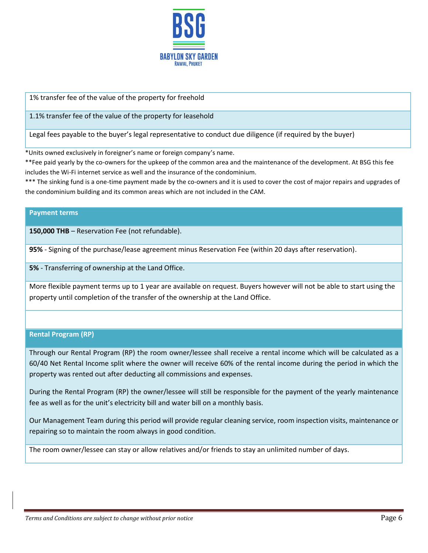

1% transfer fee of the value of the property for freehold

1.1% transfer fee of the value of the property for leasehold

Legal fees payable to the buyer's legal representative to conduct due diligence (if required by the buyer)

\*Units owned exclusively in foreigner's name or foreign company's name.

\*\*Fee paid yearly by the co-owners for the upkeep of the common area and the maintenance of the development. At BSG this fee includes the Wi-Fi internet service as well and the insurance of the condominium.

\*\*\* The sinking fund is a one-time payment made by the co-owners and it is used to cover the cost of major repairs and upgrades of the condominium building and its common areas which are not included in the CAM.

## **Payment terms**

**150,000 THB** – Reservation Fee (not refundable).

**95%** - Signing of the purchase/lease agreement minus Reservation Fee (within 20 days after reservation).

**5%** - Transferring of ownership at the Land Office.

More flexible payment terms up to 1 year are available on request. Buyers however will not be able to start using the property until completion of the transfer of the ownership at the Land Office.

# **Rental Program (RP)**

Through our Rental Program (RP) the room owner/lessee shall receive a rental income which will be calculated as a 60/40 Net Rental Income split where the owner will receive 60% of the rental income during the period in which the property was rented out after deducting all commissions and expenses.

During the Rental Program (RP) the owner/lessee will still be responsible for the payment of the yearly maintenance fee as well as for the unit's electricity bill and water bill on a monthly basis.

Our Management Team during this period will provide regular cleaning service, room inspection visits, maintenance or repairing so to maintain the room always in good condition.

The room owner/lessee can stay or allow relatives and/or friends to stay an unlimited number of days.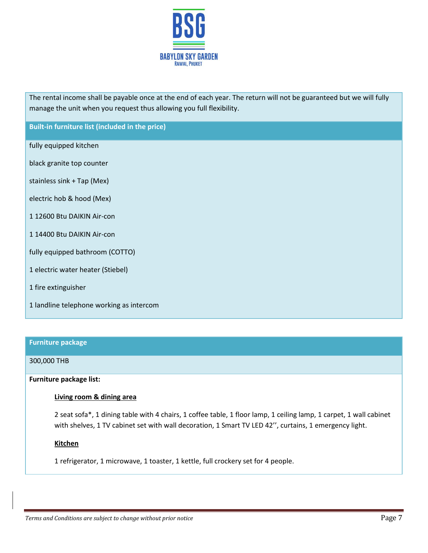

The rental income shall be payable once at the end of each year. The return will not be guaranteed but we will fully manage the unit when you request thus allowing you full flexibility.

**Built-in furniture list (included in the price)**

fully equipped kitchen

black granite top counter

stainless sink + Tap (Mex)

electric hob & hood (Mex)

1 12600 Btu DAIKIN Air-con

1 14400 Btu DAIKIN Air-con

fully equipped bathroom (COTTO)

1 electric water heater (Stiebel)

1 fire extinguisher

1 landline telephone working as intercom

#### **Furniture package**

### 300,000 THB

**Furniture package list:**

## **Living room & dining area**

2 seat sofa\*, 1 dining table with 4 chairs, 1 coffee table, 1 floor lamp, 1 ceiling lamp, 1 carpet, 1 wall cabinet with shelves, 1 TV cabinet set with wall decoration, 1 Smart TV LED 42", curtains, 1 emergency light.

### **Kitchen**

1 refrigerator, 1 microwave, 1 toaster, 1 kettle, full crockery set for 4 people.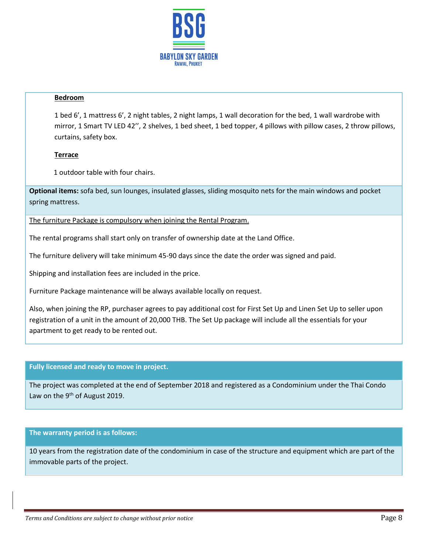

## **Bedroom**

1 bed 6', 1 mattress 6', 2 night tables, 2 night lamps, 1 wall decoration for the bed, 1 wall wardrobe with mirror, 1 Smart TV LED 42'', 2 shelves, 1 bed sheet, 1 bed topper, 4 pillows with pillow cases, 2 throw pillows, curtains, safety box.

# **Terrace**

1 outdoor table with four chairs.

**Optional items:** sofa bed, sun lounges, insulated glasses, sliding mosquito nets for the main windows and pocket spring mattress.

The furniture Package is compulsory when joining the Rental Program.

The rental programs shall start only on transfer of ownership date at the Land Office.

The furniture delivery will take minimum 45-90 days since the date the order was signed and paid.

Shipping and installation fees are included in the price.

Furniture Package maintenance will be always available locally on request.

Also, when joining the RP, purchaser agrees to pay additional cost for First Set Up and Linen Set Up to seller upon registration of a unit in the amount of 20,000 THB. The Set Up package will include all the essentials for your apartment to get ready to be rented out.

## **Fully licensed and ready to move in project.**

The project was completed at the end of September 2018 and registered as a Condominium under the Thai Condo Law on the  $9<sup>th</sup>$  of August 2019.

# **The warranty period is as follows:**

10 years from the registration date of the condominium in case of the structure and equipment which are part of the immovable parts of the project.